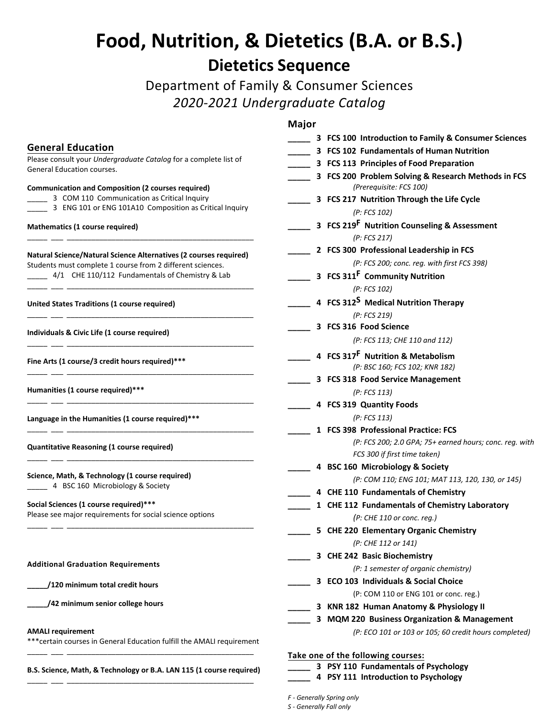# **Food, Nutrition, & Dietetics (B.A. or B.S.) Dietetics Sequence**

Department of Family & Consumer Sciences *2020-2021 Undergraduate Catalog*

## **Major**

|                                                                                                                                                 | waju                                                                           |
|-------------------------------------------------------------------------------------------------------------------------------------------------|--------------------------------------------------------------------------------|
|                                                                                                                                                 | 3 FCS 100 Introduction to Family & Consumer Sciences                           |
| <b>General Education</b>                                                                                                                        | 3 FCS 102 Fundamentals of Human Nutrition                                      |
| Please consult your Undergraduate Catalog for a complete list of<br>General Education courses.                                                  | 3 FCS 113 Principles of Food Preparation                                       |
|                                                                                                                                                 | 3 FCS 200 Problem Solving & Research Methods in FCS<br>(Prerequisite: FCS 100) |
| <b>Communication and Composition (2 courses required)</b><br>3 COM 110 Communication as Critical Inquiry                                        | 3 FCS 217 Nutrition Through the Life Cycle                                     |
| 3 ENG 101 or ENG 101A10 Composition as Critical Inquiry                                                                                         | (P: FCS 102)                                                                   |
|                                                                                                                                                 | 3 FCS 219 <sup>F</sup> Nutrition Counseling & Assessment                       |
| Mathematics (1 course required)                                                                                                                 | (P: FCS 217)                                                                   |
| <b>Natural Science/Natural Science Alternatives (2 courses required)</b>                                                                        | 2 FCS 300 Professional Leadership in FCS                                       |
| Students must complete 1 course from 2 different sciences.                                                                                      | (P: FCS 200; conc. reg. with first FCS 398)                                    |
| 4/1 CHE 110/112 Fundamentals of Chemistry & Lab                                                                                                 | 3 FCS 311 <sup>F</sup> Community Nutrition                                     |
|                                                                                                                                                 | (P: FCS 102)                                                                   |
| United States Traditions (1 course required)                                                                                                    | 4 FCS 312 <sup>S</sup> Medical Nutrition Therapy                               |
|                                                                                                                                                 | (P: FCS 219)                                                                   |
| Individuals & Civic Life (1 course required)                                                                                                    | 3 FCS 316 Food Science                                                         |
|                                                                                                                                                 | (P: FCS 113; CHE 110 and 112)                                                  |
| Fine Arts (1 course/3 credit hours required)***                                                                                                 | 4 FCS 317 <sup>F</sup> Nutrition & Metabolism                                  |
|                                                                                                                                                 | (P: BSC 160; FCS 102; KNR 182)                                                 |
|                                                                                                                                                 | 3 FCS 318 Food Service Management                                              |
| Humanities (1 course required)***                                                                                                               | (P: FCS 113)                                                                   |
|                                                                                                                                                 | 4 FCS 319 Quantity Foods                                                       |
| Language in the Humanities (1 course required)***                                                                                               | (P: FCS 113)                                                                   |
|                                                                                                                                                 | 1 FCS 398 Professional Practice: FCS                                           |
| <b>Quantitative Reasoning (1 course required)</b>                                                                                               | (P: FCS 200; 2.0 GPA; 75+ earned hours; conc. reg. with                        |
|                                                                                                                                                 | FCS 300 if first time taken)                                                   |
|                                                                                                                                                 | 4 BSC 160 Microbiology & Society                                               |
| Science, Math, & Technology (1 course required)<br>4 BSC 160 Microbiology & Society                                                             | (P: COM 110; ENG 101; MAT 113, 120, 130, or 145)                               |
|                                                                                                                                                 | 4 CHE 110 Fundamentals of Chemistry                                            |
| Social Sciences (1 course required)***<br>Please see major requirements for social science options<br><b>Additional Graduation Requirements</b> | 1 CHE 112 Fundamentals of Chemistry Laboratory                                 |
|                                                                                                                                                 | (P: CHE 110 or conc. reg.)                                                     |
|                                                                                                                                                 | 5 CHE 220 Elementary Organic Chemistry                                         |
|                                                                                                                                                 | (P: CHE 112 or 141)                                                            |
|                                                                                                                                                 | 3 CHE 242 Basic Biochemistry                                                   |
|                                                                                                                                                 | (P: 1 semester of organic chemistry)                                           |
| /120 minimum total credit hours                                                                                                                 | 3 ECO 103 Individuals & Social Choice                                          |
|                                                                                                                                                 | (P: COM 110 or ENG 101 or conc. reg.)                                          |
| /42 minimum senior college hours                                                                                                                | 3 KNR 182 Human Anatomy & Physiology II                                        |
|                                                                                                                                                 | 3 MQM 220 Business Organization & Management                                   |
| <b>AMALI requirement</b>                                                                                                                        | (P: ECO 101 or 103 or 105; 60 credit hours completed)                          |
| *** certain courses in General Education fulfill the AMALI requirement                                                                          |                                                                                |
|                                                                                                                                                 | Take one of the following courses:                                             |
| B.S. Science, Math, & Technology or B.A. LAN 115 (1 course required)                                                                            | 3 PSY 110 Fundamentals of Psychology                                           |
|                                                                                                                                                 | 4 PSY 111 Introduction to Psychology                                           |

## \_\_\_ 3 COM 110 Communication as Critical Inquiry \_3 ENG 101 or ENG 101A10 Composition as Critical Inquiry

## **Mathematics (1 course required)**

| <b>Natural Science/Natural Science Alternatives (2 courses required)</b> |  |
|--------------------------------------------------------------------------|--|
| Students must complete 1 course from 2 different sciences.               |  |
| 4/1 CHE 110/112 Fundamentals of Chemistry & Lab                          |  |

# **Social Sciences (1 course required)\*\*\***

#### **Additional Graduation Requirements**

#### **AMALI requirement**

*F - Generally Spring only*

*S - Generally Fall only*